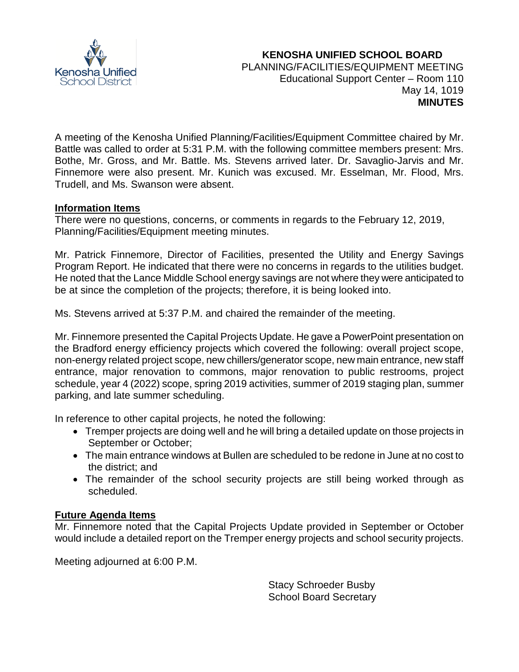

A meeting of the Kenosha Unified Planning/Facilities/Equipment Committee chaired by Mr. Battle was called to order at 5:31 P.M. with the following committee members present: Mrs. Bothe, Mr. Gross, and Mr. Battle. Ms. Stevens arrived later. Dr. Savaglio-Jarvis and Mr. Finnemore were also present. Mr. Kunich was excused. Mr. Esselman, Mr. Flood, Mrs. Trudell, and Ms. Swanson were absent.

## **Information Items**

There were no questions, concerns, or comments in regards to the February 12, 2019, Planning/Facilities/Equipment meeting minutes.

Mr. Patrick Finnemore, Director of Facilities, presented the Utility and Energy Savings Program Report. He indicated that there were no concerns in regards to the utilities budget. He noted that the Lance Middle School energy savings are not where they were anticipated to be at since the completion of the projects; therefore, it is being looked into.

Ms. Stevens arrived at 5:37 P.M. and chaired the remainder of the meeting.

Mr. Finnemore presented the Capital Projects Update. He gave a PowerPoint presentation on the Bradford energy efficiency projects which covered the following: overall project scope, non-energy related project scope, new chillers/generator scope, new main entrance, new staff entrance, major renovation to commons, major renovation to public restrooms, project schedule, year 4 (2022) scope, spring 2019 activities, summer of 2019 staging plan, summer parking, and late summer scheduling.

In reference to other capital projects, he noted the following:

- Tremper projects are doing well and he will bring a detailed update on those projects in September or October;
- The main entrance windows at Bullen are scheduled to be redone in June at no cost to the district; and
- The remainder of the school security projects are still being worked through as scheduled.

# **Future Agenda Items**

Mr. Finnemore noted that the Capital Projects Update provided in September or October would include a detailed report on the Tremper energy projects and school security projects.

Meeting adjourned at 6:00 P.M.

Stacy Schroeder Busby School Board Secretary